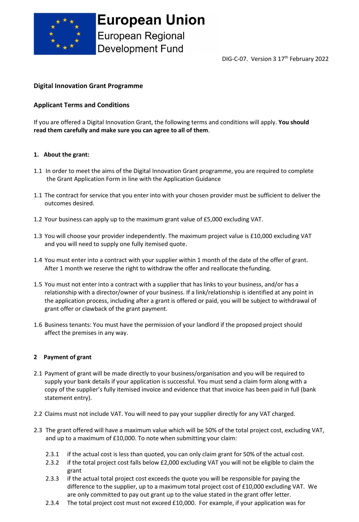

**Development Fund** 

DIG-C-07. Version 3 17<sup>th</sup> February 2022

# **Digital Innovation Grant Programme**

# **Applicant Terms and Conditions**

If you are offered a Digital Innovation Grant, the following terms and conditions will apply. **You should read them carefully and make sure you can agree to all of them**.

### **1. About the grant:**

- 1.1 In order to meet the aims of the Digital Innovation Grant programme, you are required to complete the Grant Application Form in line with the Application Guidance
- 1.1 The contract for service that you enter into with your chosen provider must be sufficient to deliver the outcomes desired.
- 1.2 Your business can apply up to the maximum grant value of £5,000 excluding VAT.
- 1.3 You will choose your provider independently. The maximum project value is £10,000 excluding VAT and you will need to supply one fully itemised quote.
- 1.4 You must enter into a contract with your supplier within 1 month of the date of the offer of grant. After 1 month we reserve the right to withdraw the offer and reallocate thefunding.
- 1.5 You must not enter into a contract with a supplier that has links to your business, and/or has a relationship with a director/owner of your business. If a link/relationship is identified at any point in the application process, including after a grant is offered or paid, you will be subject to withdrawal of grant offer or clawback of the grant payment.
- 1.6 Business tenants: You must have the permission of your landlord if the proposed project should affect the premises in any way.

## **2 Payment of grant**

- 2.1 Payment of grant will be made directly to your business/organisation and you will be required to supply your bank details if your application is successful. You must send a claim form along with a copy of the supplier's fully itemised invoice and evidence that that invoice has been paid in full (bank statement entry).
- 2.2 Claims must not include VAT. You will need to pay your supplier directly for any VAT charged.
- 2.3 The grant offered will have a maximum value which will be 50% of the total project cost, excluding VAT, and up to a maximum of £10,000. To note when submitting your claim:
	- 2.3.1 if the actual cost is less than quoted, you can only claim grant for 50% of the actual cost.
	- 2.3.2 if the total project cost falls below £2,000 excluding VAT you will not be eligible to claim the grant
	- 2.3.3 if the actual total project cost exceeds the quote you will be responsible for paying the difference to the supplier, up to a maximum total project cost of £10,000 excluding VAT. We are only committed to pay out grant up to the value stated in the grant offer letter.
	- 2.3.4 The total project cost must not exceed £10,000. For example, if your application was for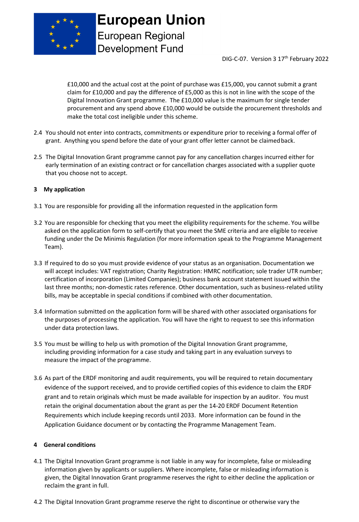

**European Union European Regional Development Fund** 

DIG-C-07. Version 3 17<sup>th</sup> February 2022

£10,000 and the actual cost at the point of purchase was £15,000, you cannot submit a grant claim for £10,000 and pay the difference of £5,000 as this is not in line with the scope of the Digital Innovation Grant programme. The £10,000 value is the maximum for single tender procurement and any spend above £10,000 would be outside the procurement thresholds and make the total cost ineligible under this scheme.

- 2.4 You should not enter into contracts, commitments or expenditure prior to receiving a formal offer of grant. Anything you spend before the date of your grant offer letter cannot be claimedback.
- 2.5 The Digital Innovation Grant programme cannot pay for any cancellation charges incurred either for early termination of an existing contract or for cancellation charges associated with a supplier quote that you choose not to accept.

#### **3 My application**

- 3.1 You are responsible for providing all the information requested in the application form
- 3.2 You are responsible for checking that you meet the eligibility requirements for the scheme. You willbe asked on the application form to self-certify that you meet the SME criteria and are eligible to receive funding under the De Minimis Regulation (for more information speak to the Programme Management Team).
- 3.3 If required to do so you must provide evidence of your status as an organisation. Documentation we will accept includes: VAT registration; Charity Registration: HMRC notification; sole trader UTR number; certification of incorporation (Limited Companies); business bank account statement issued within the last three months; non-domestic rates reference. Other documentation, such as business-related utility bills, may be acceptable in special conditions if combined with other documentation.
- 3.4 Information submitted on the application form will be shared with other associated organisations for the purposes of processing the application. You will have the right to request to see this information under data protection laws.
- 3.5 You must be willing to help us with promotion of the Digital Innovation Grant programme, including providing information for a case study and taking part in any evaluation surveys to measure the impact of the programme.
- 3.6 As part of the ERDF monitoring and audit requirements, you will be required to retain documentary evidence of the support received, and to provide certified copies of this evidence to claim the ERDF grant and to retain originals which must be made available for inspection by an auditor. You must retain the original documentation about the grant as per the 14-20 ERDF Document Retention Requirements which include keeping records until 2033. More information can be found in the Application Guidance document or by contacting the Programme Management Team.

## **4 General conditions**

- 4.1 The Digital Innovation Grant programme is not liable in any way for incomplete, false or misleading information given by applicants or suppliers. Where incomplete, false or misleading information is given, the Digital Innovation Grant programme reserves the right to either decline the application or reclaim the grant in full.
- 4.2 The Digital Innovation Grant programme reserve the right to discontinue or otherwise vary the